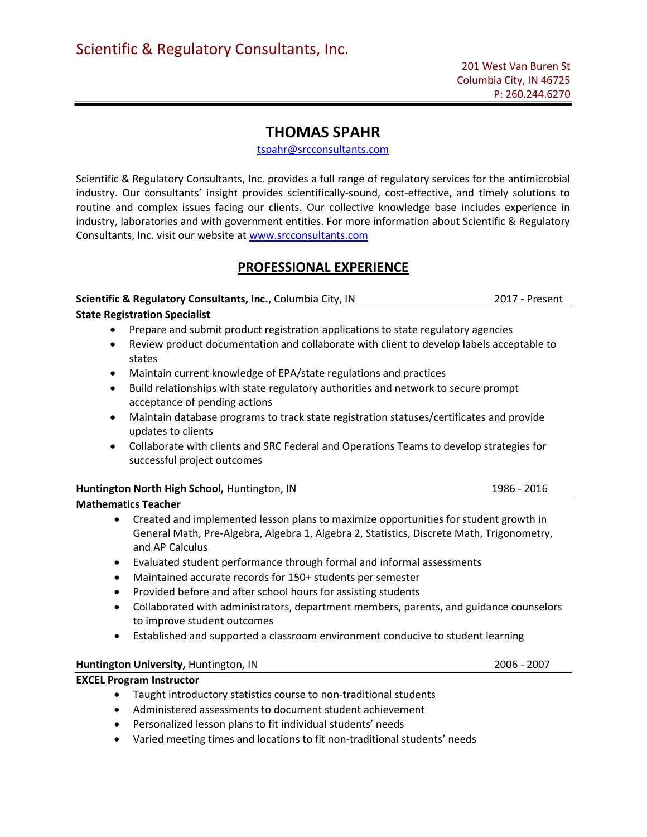# THOMAS SPAHR

tspahr@srcconsultants.com

Scientific & Regulatory Consultants, Inc. provides a full range of regulatory services for the antimicrobial industry. Our consultants' insight provides scientifically-sound, cost-effective, and timely solutions to routine and complex issues facing our clients. Our collective knowledge base includes experience in industry, laboratories and with government entities. For more information about Scientific & Regulatory Consultants, Inc. visit our website at www.srcconsultants.com

## PROFESSIONAL EXPERIENCE

#### Scientific & Regulatory Consultants, Inc., Columbia City, IN 2017 - Present

State Registration Specialist

- Prepare and submit product registration applications to state regulatory agencies
- Review product documentation and collaborate with client to develop labels acceptable to states
- Maintain current knowledge of EPA/state regulations and practices
- Build relationships with state regulatory authorities and network to secure prompt acceptance of pending actions
- Maintain database programs to track state registration statuses/certificates and provide updates to clients
- Collaborate with clients and SRC Federal and Operations Teams to develop strategies for successful project outcomes

| Huntington North High School, Huntington, IN | 1986 - 2016 |
|----------------------------------------------|-------------|
| .                                            |             |

### Mathematics Teacher

- Created and implemented lesson plans to maximize opportunities for student growth in General Math, Pre-Algebra, Algebra 1, Algebra 2, Statistics, Discrete Math, Trigonometry, and AP Calculus
- Evaluated student performance through formal and informal assessments
- Maintained accurate records for 150+ students per semester
- Provided before and after school hours for assisting students
- Collaborated with administrators, department members, parents, and guidance counselors to improve student outcomes
- Established and supported a classroom environment conducive to student learning

### Huntington University, Huntington, IN 2006 - 2007

### EXCEL Program Instructor

- Taught introductory statistics course to non-traditional students
- Administered assessments to document student achievement
- Personalized lesson plans to fit individual students' needs
- Varied meeting times and locations to fit non-traditional students' needs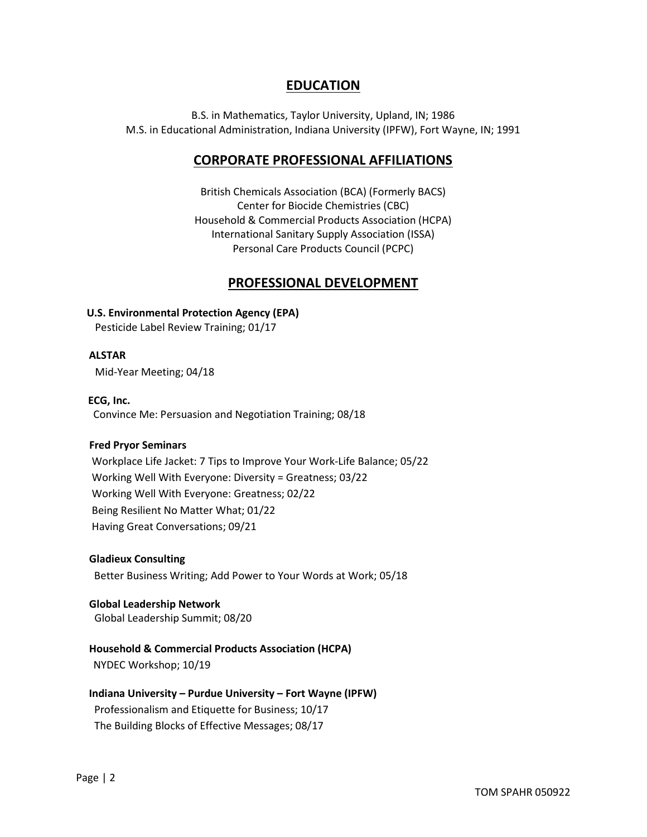## EDUCATION

B.S. in Mathematics, Taylor University, Upland, IN; 1986 M.S. in Educational Administration, Indiana University (IPFW), Fort Wayne, IN; 1991

## CORPORATE PROFESSIONAL AFFILIATIONS

British Chemicals Association (BCA) (Formerly BACS) Center for Biocide Chemistries (CBC) Household & Commercial Products Association (HCPA) International Sanitary Supply Association (ISSA) Personal Care Products Council (PCPC)

## PROFESSIONAL DEVELOPMENT

### U.S. Environmental Protection Agency (EPA)

Pesticide Label Review Training; 01/17

#### ALSTAR

Mid-Year Meeting; 04/18

#### ECG, Inc.

Convince Me: Persuasion and Negotiation Training; 08/18

#### Fred Pryor Seminars

 Workplace Life Jacket: 7 Tips to Improve Your Work-Life Balance; 05/22 Working Well With Everyone: Diversity = Greatness; 03/22 Working Well With Everyone: Greatness; 02/22 Being Resilient No Matter What; 01/22 Having Great Conversations; 09/21

#### Gladieux Consulting

Better Business Writing; Add Power to Your Words at Work; 05/18

#### Global Leadership Network Global Leadership Summit; 08/20

### Household & Commercial Products Association (HCPA)

NYDEC Workshop; 10/19

## Indiana University – Purdue University – Fort Wayne (IPFW)

 Professionalism and Etiquette for Business; 10/17 The Building Blocks of Effective Messages; 08/17